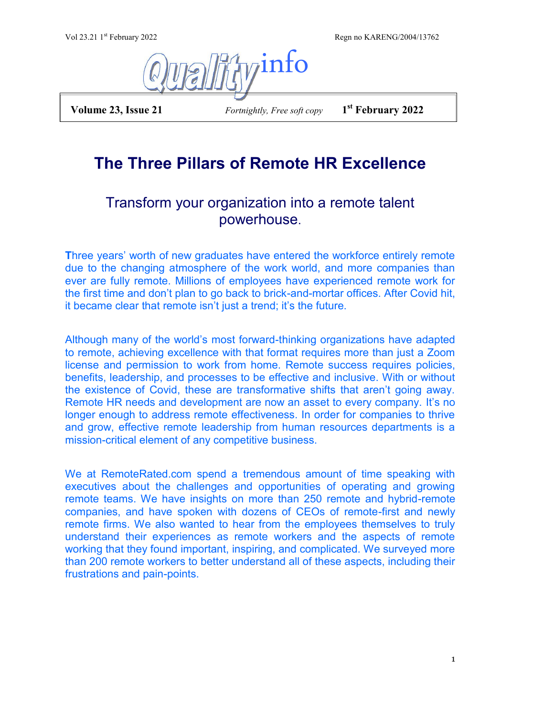Regn no KARENG/2004/13762



 **Volume 23, Issue 21** *Fortnightly, Free soft copy* **1**

**st February 2022**

# **The Three Pillars of Remote HR Excellence**

## Transform your organization into a remote talent powerhouse.

**T**hree years' worth of new graduates have entered the workforce entirely remote due to the changing atmosphere of the work world, and more companies than ever are fully remote. Millions of employees have experienced remote work for the first time and don't plan to go back to brick-and-mortar offices. After Covid hit, it became clear that remote isn't just a trend; it's the future.

Although many of the world's most forward-thinking organizations have adapted to remote, achieving excellence with that format requires more than just a Zoom license and permission to work from home. Remote success requires policies, benefits, leadership, and processes to be effective and inclusive. With or without the existence of Covid, these are transformative shifts that aren't going away. Remote HR needs and development are now an asset to every company. It's no longer enough to address remote effectiveness. In order for companies to thrive and grow, effective remote leadership from human resources departments is a mission-critical element of any competitive business.

We at RemoteRated.com spend a tremendous amount of time speaking with executives about the challenges and opportunities of operating and growing remote teams. We have insights on more than 250 remote and hybrid-remote companies, and have spoken with dozens of CEOs of remote-first and newly remote firms. We also wanted to hear from the employees themselves to truly understand their experiences as remote workers and the aspects of remote working that they found important, inspiring, and complicated. We surveyed more than 200 remote workers to better understand all of these aspects, including their frustrations and pain-points.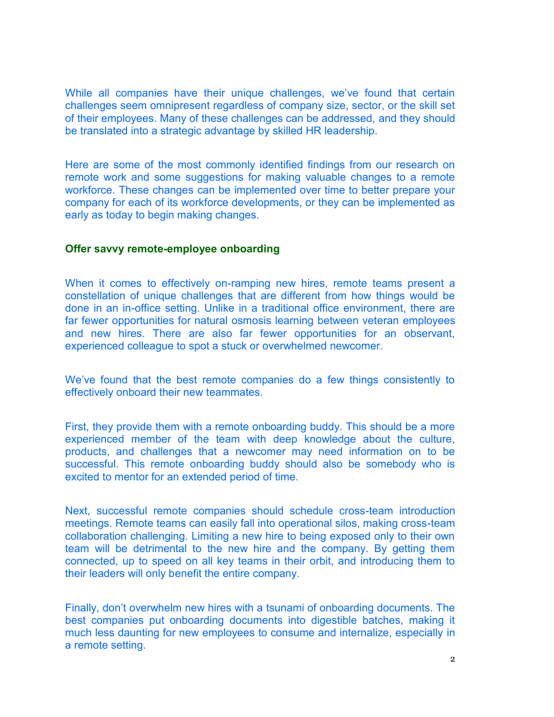While all companies have their unique challenges, we've found that certain challenges seem omnipresent regardless of company size, sector, or the skill set of their employees. Many of these challenges can be addressed, and they should be translated into a strategic advantage by skilled HR leadership.

Here are some of the most commonly identified findings from our research on remote work and some suggestions for making valuable changes to a remote workforce. These changes can be implemented over time to better prepare your company for each of its workforce developments, or they can be implemented as early as today to begin making changes.

#### **Offer savvy remote-employee onboarding**

When it comes to effectively on-ramping new hires, remote teams present a constellation of unique challenges that are different from how things would be done in an in-office setting. Unlike in a traditional office environment, there are far fewer opportunities for natural osmosis learning between veteran employees and new hires. There are also far fewer opportunities for an observant, experienced colleague to spot a stuck or overwhelmed newcomer.

We've found that the best remote companies do a few things consistently to effectively onboard their new teammates.

First, they provide them with a remote onboarding buddy. This should be a more experienced member of the team with deep knowledge about the culture, products, and challenges that a newcomer may need information on to be successful. This remote onboarding buddy should also be somebody who is excited to mentor for an extended period of time.

Next, successful remote companies should schedule cross-team introduction meetings. Remote teams can easily fall into operational silos, making cross-team collaboration challenging. Limiting a new hire to being exposed only to their own team will be detrimental to the new hire and the company. By getting them connected, up to speed on all key teams in their orbit, and introducing them to their leaders will only benefit the entire company.

Finally, don't overwhelm new hires with a tsunami of onboarding documents. The best companies put onboarding documents into digestible batches, making it much less daunting for new employees to consume and internalize, especially in a remote setting.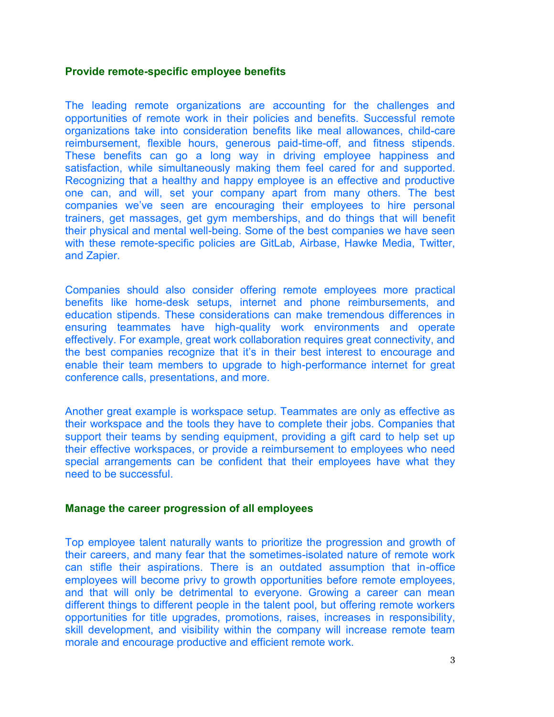#### **Provide remote-specific employee benefits**

The leading remote organizations are accounting for the challenges and opportunities of remote work in their policies and benefits. Successful remote organizations take into consideration benefits like meal allowances, child-care reimbursement, flexible hours, generous paid-time-off, and fitness stipends. These benefits can go a long way in driving employee happiness and satisfaction, while simultaneously making them feel cared for and supported. Recognizing that a healthy and happy employee is an effective and productive one can, and will, set your company apart from many others. The best companies we've seen are encouraging their employees to hire personal trainers, get massages, get gym memberships, and do things that will benefit their physical and mental well-being. Some of the best companies we have seen with these remote-specific policies are GitLab, Airbase, Hawke Media, Twitter, and Zapier.

Companies should also consider offering remote employees more practical benefits like home-desk setups, internet and phone reimbursements, and education stipends. These considerations can make tremendous differences in ensuring teammates have high-quality work environments and operate effectively. For example, great work collaboration requires great connectivity, and the best companies recognize that it's in their best interest to encourage and enable their team members to upgrade to high-performance internet for great conference calls, presentations, and more.

Another great example is workspace setup. Teammates are only as effective as their workspace and the tools they have to complete their jobs. Companies that support their teams by sending equipment, providing a gift card to help set up their effective workspaces, or provide a reimbursement to employees who need special arrangements can be confident that their employees have what they need to be successful.

### **Manage the career progression of all employees**

Top employee talent naturally wants to prioritize the progression and growth of their careers, and many fear that the sometimes-isolated nature of remote work can stifle their aspirations. There is an outdated assumption that in-office employees will become privy to growth opportunities before remote employees, and that will only be detrimental to everyone. Growing a career can mean different things to different people in the talent pool, but offering remote workers opportunities for title upgrades, promotions, raises, increases in responsibility, skill development, and visibility within the company will increase remote team morale and encourage productive and efficient remote work.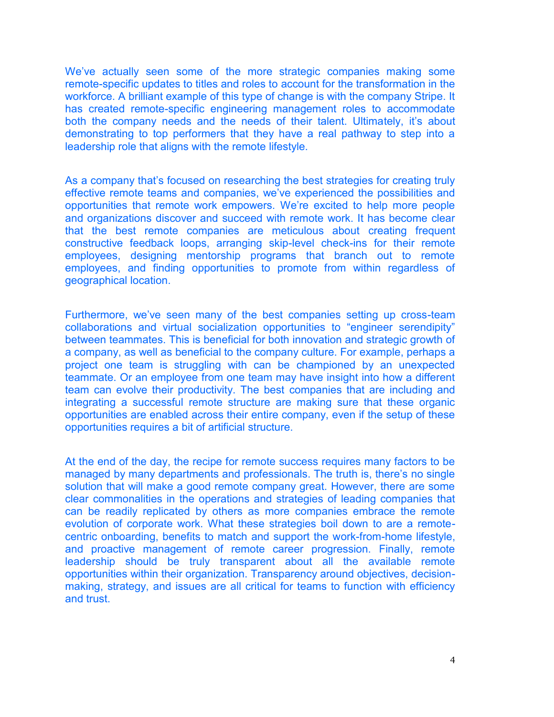We've actually seen some of the more strategic companies making some remote-specific updates to titles and roles to account for the transformation in the workforce. A brilliant example of this type of change is with the company Stripe. It has created remote-specific engineering management roles to accommodate both the company needs and the needs of their talent. Ultimately, it's about demonstrating to top performers that they have a real pathway to step into a leadership role that aligns with the remote lifestyle.

As a company that's focused on researching the best strategies for creating truly effective remote teams and companies, we've experienced the possibilities and opportunities that remote work empowers. We're excited to help more people and organizations discover and succeed with remote work. It has become clear that the best remote companies are meticulous about creating frequent constructive feedback loops, arranging skip-level check-ins for their remote employees, designing mentorship programs that branch out to remote employees, and finding opportunities to promote from within regardless of geographical location.

Furthermore, we've seen many of the best companies setting up cross-team collaborations and virtual socialization opportunities to "engineer serendipity" between teammates. This is beneficial for both innovation and strategic growth of a company, as well as beneficial to the company culture. For example, perhaps a project one team is struggling with can be championed by an unexpected teammate. Or an employee from one team may have insight into how a different team can evolve their productivity. The best companies that are including and integrating a successful remote structure are making sure that these organic opportunities are enabled across their entire company, even if the setup of these opportunities requires a bit of artificial structure.

At the end of the day, the recipe for remote success requires many factors to be managed by many departments and professionals. The truth is, there's no single solution that will make a good remote company great. However, there are some clear commonalities in the operations and strategies of leading companies that can be readily replicated by others as more companies embrace the remote evolution of corporate work. What these strategies boil down to are a remotecentric onboarding, benefits to match and support the work-from-home lifestyle, and proactive management of remote career progression. Finally, remote leadership should be truly transparent about all the available remote opportunities within their organization. Transparency around objectives, decisionmaking, strategy, and issues are all critical for teams to function with efficiency and trust.